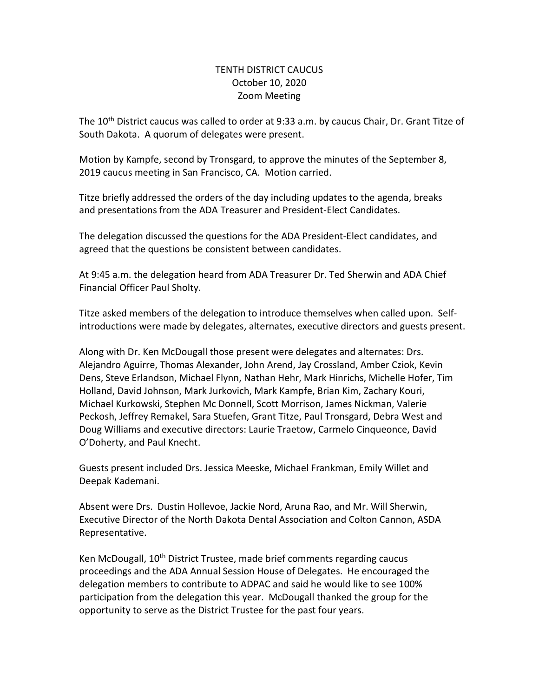## TENTH DISTRICT CAUCUS October 10, 2020 Zoom Meeting

The 10<sup>th</sup> District caucus was called to order at 9:33 a.m. by caucus Chair, Dr. Grant Titze of South Dakota. A quorum of delegates were present.

Motion by Kampfe, second by Tronsgard, to approve the minutes of the September 8, 2019 caucus meeting in San Francisco, CA. Motion carried.

Titze briefly addressed the orders of the day including updates to the agenda, breaks and presentations from the ADA Treasurer and President-Elect Candidates.

The delegation discussed the questions for the ADA President-Elect candidates, and agreed that the questions be consistent between candidates.

At 9:45 a.m. the delegation heard from ADA Treasurer Dr. Ted Sherwin and ADA Chief Financial Officer Paul Sholty.

Titze asked members of the delegation to introduce themselves when called upon. Selfintroductions were made by delegates, alternates, executive directors and guests present.

Along with Dr. Ken McDougall those present were delegates and alternates: Drs. Alejandro Aguirre, Thomas Alexander, John Arend, Jay Crossland, Amber Cziok, Kevin Dens, Steve Erlandson, Michael Flynn, Nathan Hehr, Mark Hinrichs, Michelle Hofer, Tim Holland, David Johnson, Mark Jurkovich, Mark Kampfe, Brian Kim, Zachary Kouri, Michael Kurkowski, Stephen Mc Donnell, Scott Morrison, James Nickman, Valerie Peckosh, Jeffrey Remakel, Sara Stuefen, Grant Titze, Paul Tronsgard, Debra West and Doug Williams and executive directors: Laurie Traetow, Carmelo Cinqueonce, David O'Doherty, and Paul Knecht.

Guests present included Drs. Jessica Meeske, Michael Frankman, Emily Willet and Deepak Kademani.

Absent were Drs. Dustin Hollevoe, Jackie Nord, Aruna Rao, and Mr. Will Sherwin, Executive Director of the North Dakota Dental Association and Colton Cannon, ASDA Representative.

Ken McDougall, 10<sup>th</sup> District Trustee, made brief comments regarding caucus proceedings and the ADA Annual Session House of Delegates. He encouraged the delegation members to contribute to ADPAC and said he would like to see 100% participation from the delegation this year. McDougall thanked the group for the opportunity to serve as the District Trustee for the past four years.